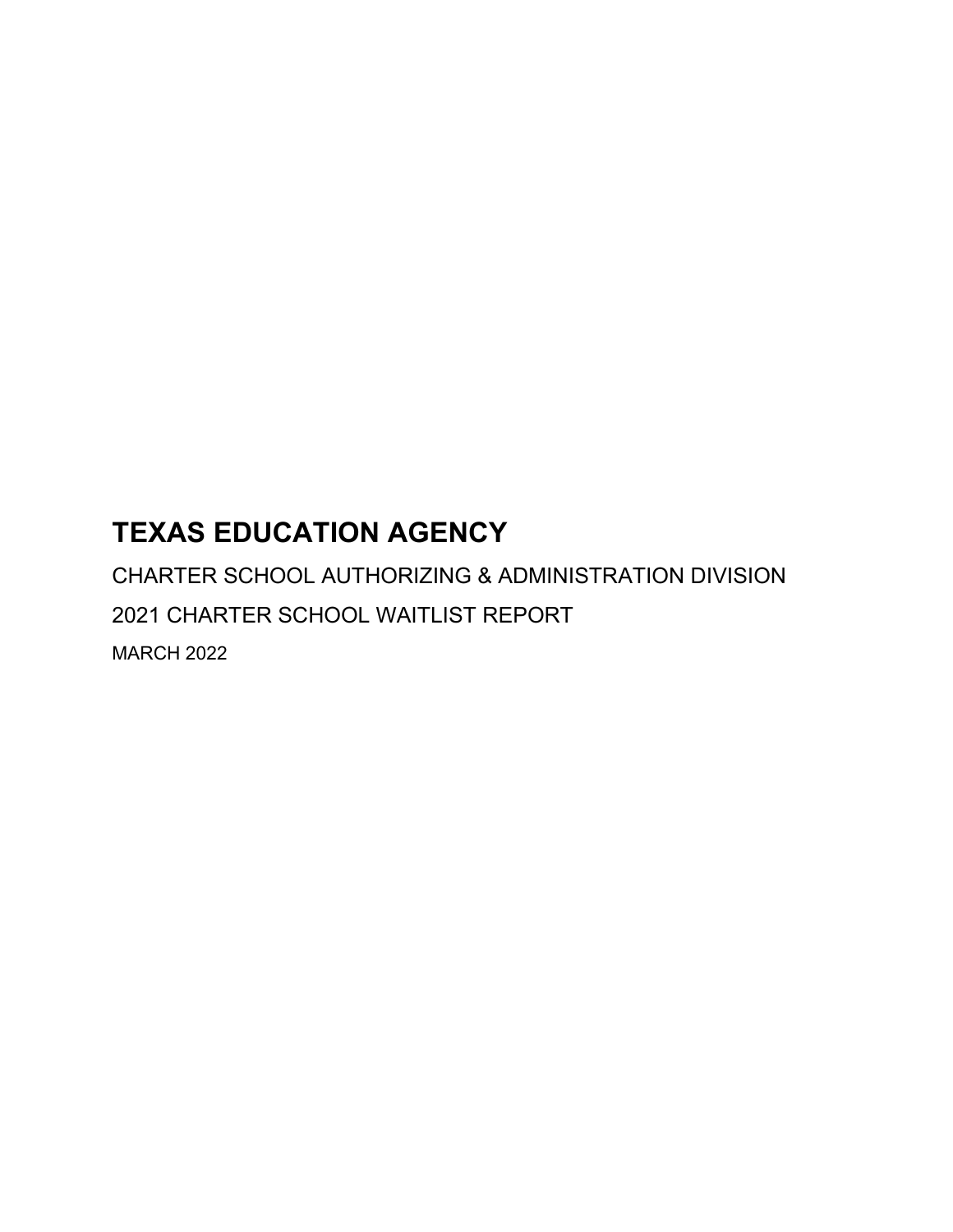# **TEXAS EDUCATION AGENCY**

CHARTER SCHOOL AUTHORIZING & ADMINISTRATION DIVISION 2021 CHARTER SCHOOL WAITLIST REPORT MARCH 2022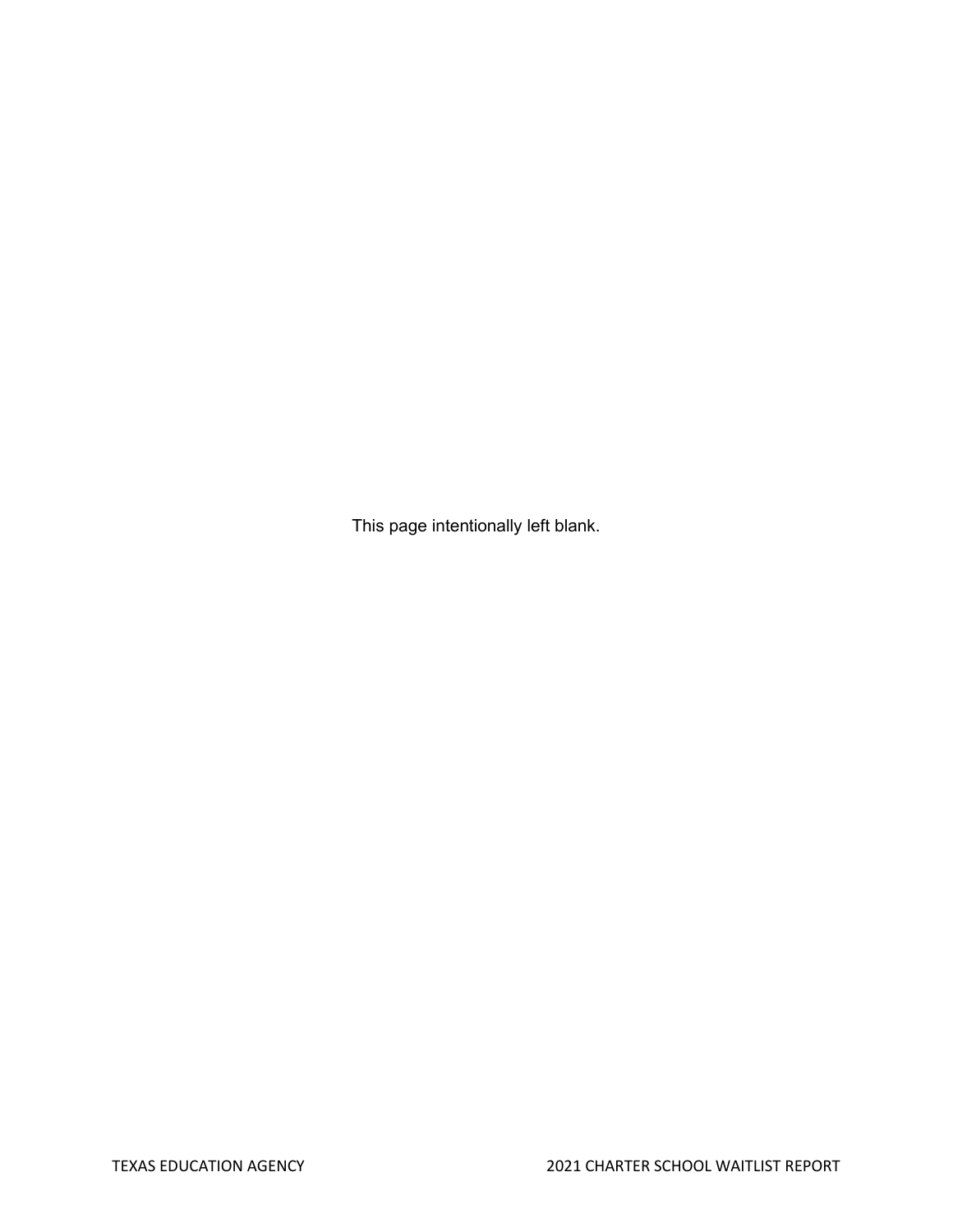This page intentionally left blank.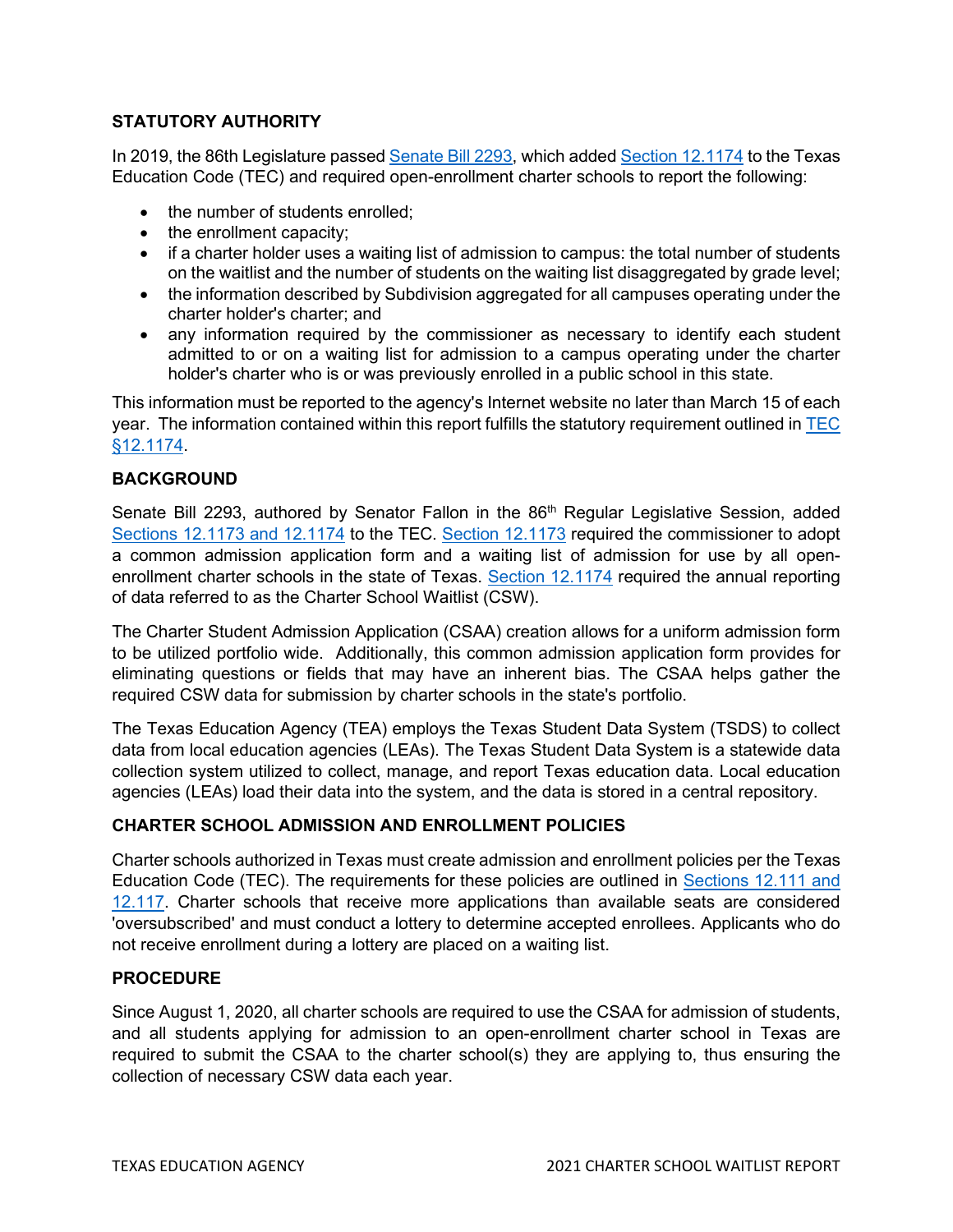### **STATUTORY AUTHORITY**

In 2019, the 86th Legislature passed [Senate Bill 2293,](https://capitol.texas.gov/tlodocs/86R/billtext/html/SB02293F.HTM) which added [Section 12.1174](https://statutes.capitol.texas.gov/Docs/ED/htm/ED.12.htm) to the Texas Education Code (TEC) and required open-enrollment charter schools to report the following:

- the number of students enrolled;
- the enrollment capacity;
- if a charter holder uses a waiting list of admission to campus: the total number of students on the waitlist and the number of students on the waiting list disaggregated by grade level;
- the information described by Subdivision aggregated for all campuses operating under the charter holder's charter; and
- admitted to or on a waiting list for admission to a campus operating under the charter • any information required by the commissioner as necessary to identify each student holder's charter who is or was previously enrolled in a public school in this state.

year. The information contained within this report fulfills the statutory requirement outlined in  $\underline{\mathsf{TEC}}$ This information must be reported to the agency's Internet website no later than March 15 of each [§12.1174.](https://statutes.capitol.texas.gov/Docs/ED/htm/ED.12.htm)

### **BACKGROUND**

[Sections 12.1173 and 12.1174](https://statutes.capitol.texas.gov/Docs/ED/htm/ED.12.htm) to the TEC. [Section 12.1173](https://statutes.capitol.texas.gov/Docs/ED/htm/ED.12.htm) required the commissioner to adopt enrollment charter schools in the state of Texas. <u>Section 12.1174</u> required the annual reporting Senate Bill 2293, authored by Senator Fallon in the 86<sup>th</sup> Regular Legislative Session, added a common admission application form and a waiting list of admission for use by all openof data referred to as the Charter School Waitlist (CSW).

 to be utilized portfolio wide. Additionally, this common admission application form provides for eliminating questions or fields that may have an inherent bias. The CSAA helps gather the The Charter Student Admission Application (CSAA) creation allows for a uniform admission form required CSW data for submission by charter schools in the state's portfolio.

 The Texas Education Agency (TEA) employs the Texas Student Data System (TSDS) to collect data from local education agencies (LEAs). The Texas Student Data System is a statewide data collection system utilized to collect, manage, and report Texas education data. Local education agencies (LEAs) load their data into the system, and the data is stored in a central repository.

### **CHARTER SCHOOL ADMISSION AND ENROLLMENT POLICIES**

Education Code (TEC). The requirements for these policies are outlined in **Sections 12.111 and**  'oversubscribed' and must conduct a lottery to determine accepted enrollees. Applicants who do Charter schools authorized in Texas must create admission and enrollment policies per the Texas [12.117.](https://statutes.capitol.texas.gov/Docs/ED/htm/ED.12.htm) Charter schools that receive more applications than available seats are considered not receive enrollment during a lottery are placed on a waiting list.

### **PROCEDURE**

 collection of necessary CSW data each year. Since August 1, 2020, all charter schools are required to use the CSAA for admission of students, and all students applying for admission to an open-enrollment charter school in Texas are required to submit the CSAA to the charter school(s) they are applying to, thus ensuring the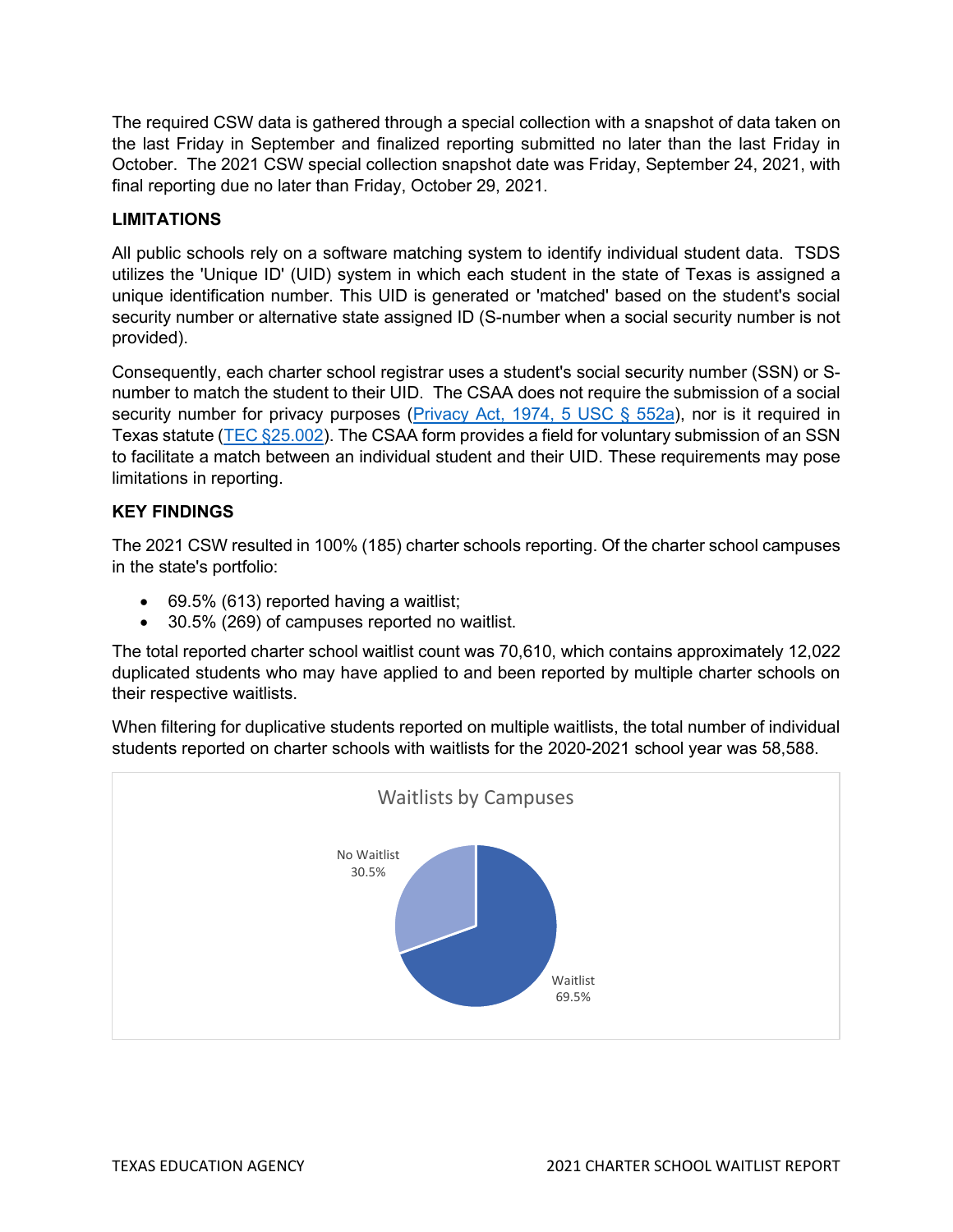The required CSW data is gathered through a special collection with a snapshot of data taken on the last Friday in September and finalized reporting submitted no later than the last Friday in October. The 2021 CSW special collection snapshot date was Friday, September 24, 2021, with final reporting due no later than Friday, October 29, 2021.

### **LIMITATIONS**

 All public schools rely on a software matching system to identify individual student data. TSDS utilizes the 'Unique ID' (UID) system in which each student in the state of Texas is assigned a unique identification number. This UID is generated or 'matched' based on the student's social security number or alternative state assigned ID (S-number when a social security number is not provided).

 number to match the student to their UID. The CSAA does not require the submission of a social security number for privacy purposes [\(Privacy Act, 1974, 5 USC § 552a\)](https://www.justice.gov/archives/opcl/page/file/844481/download), nor is it required in Texas statute (<u>TEC §25.002</u>). The CSAA form provides a field for voluntary submission of an SSN to facilitate a match between an individual student and their UID. These requirements may pose Consequently, each charter school registrar uses a student's social security number (SSN) or Slimitations in reporting.

### **KEY FINDINGS**

 in the state's portfolio: The 2021 CSW resulted in 100% (185) charter schools reporting. Of the charter school campuses

- 69.5% (613) reported having a waitlist;
- 30.5% (269) of campuses reported no waitlist.

The total reported charter school waitlist count was 70,610, which contains approximately 12,022 duplicated students who may have applied to and been reported by multiple charter schools on their respective waitlists.

When filtering for duplicative students reported on multiple waitlists, the total number of individual students reported on charter schools with waitlists for the 2020-2021 school year was 58,588.

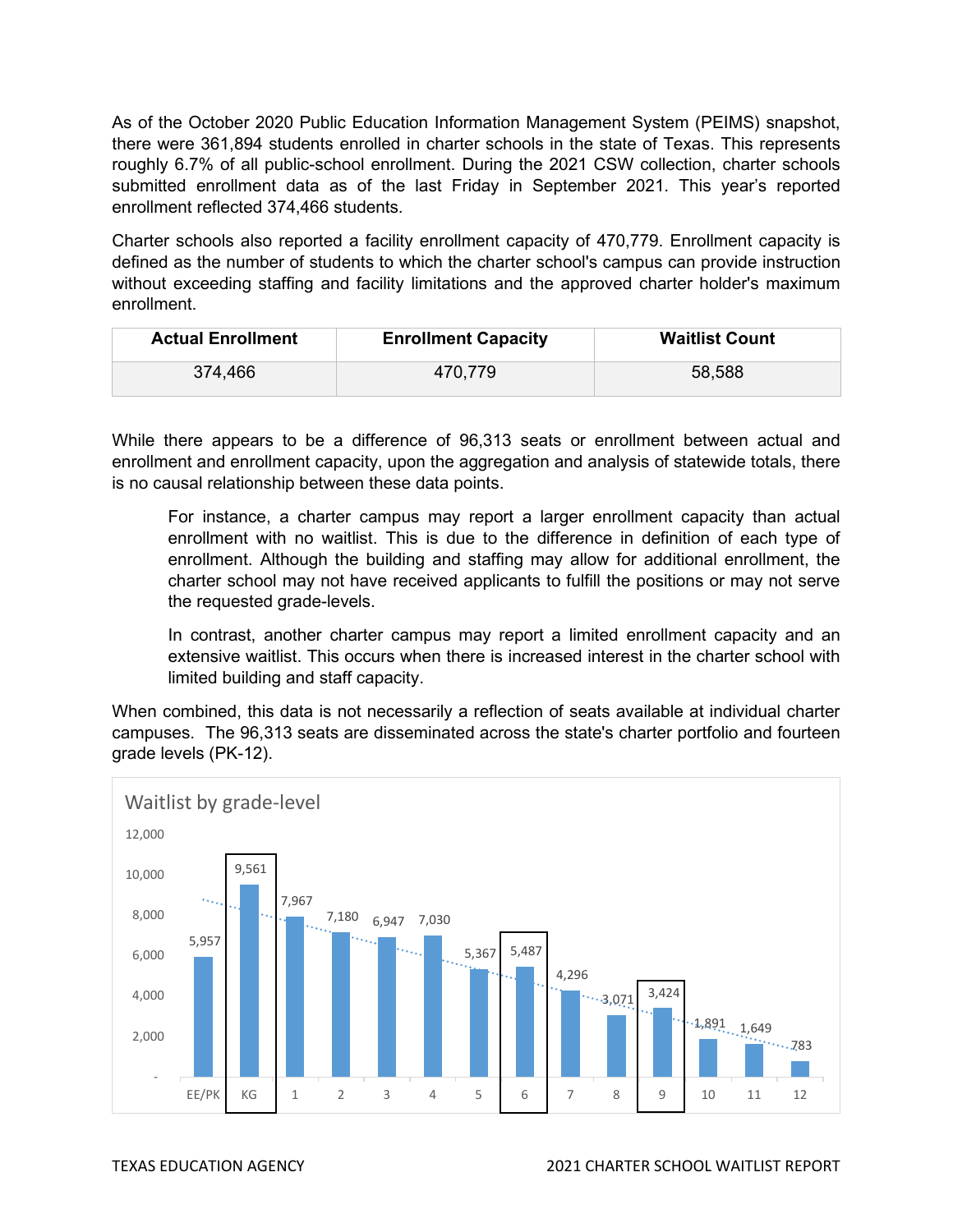As of the October 2020 Public Education Information Management System (PEIMS) snapshot, roughly 6.7% of all public-school enrollment. During the 2021 CSW collection, charter schools submitted enrollment data as of the last Friday in September 2021. This year's reported there were 361,894 students enrolled in charter schools in the state of Texas. This represents enrollment reflected 374,466 students.

 Charter schools also reported a facility enrollment capacity of 470,779. Enrollment capacity is defined as the number of students to which the charter school's campus can provide instruction without exceeding staffing and facility limitations and the approved charter holder's maximum enrollment.

| <b>Actual Enrollment</b> | <b>Enrollment Capacity</b> | <b>Waitlist Count</b> |
|--------------------------|----------------------------|-----------------------|
| 374.466                  | 470,779                    | 58,588                |

 enrollment and enrollment capacity, upon the aggregation and analysis of statewide totals, there While there appears to be a difference of 96,313 seats or enrollment between actual and is no causal relationship between these data points.

 enrollment with no waitlist. This is due to the difference in definition of each type of enrollment. Although the building and staffing may allow for additional enrollment, the For instance, a charter campus may report a larger enrollment capacity than actual charter school may not have received applicants to fulfill the positions or may not serve the requested grade-levels.

 In contrast, another charter campus may report a limited enrollment capacity and an extensive waitlist. This occurs when there is increased interest in the charter school with limited building and staff capacity.

 campuses. The 96,313 seats are disseminated across the state's charter portfolio and fourteen When combined, this data is not necessarily a reflection of seats available at individual charter grade levels (PK-12).

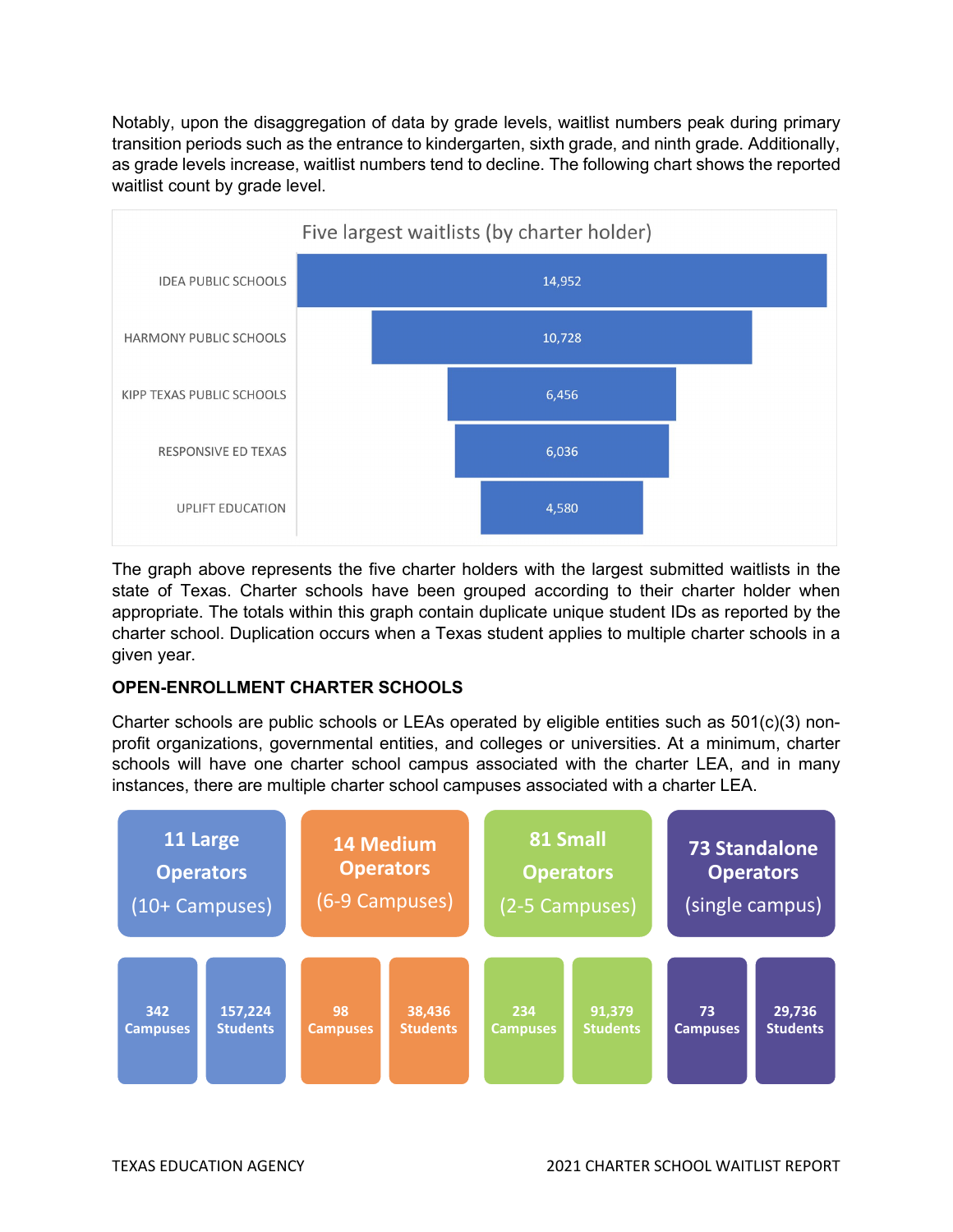Notably, upon the disaggregation of data by grade levels, waitlist numbers peak during primary as grade levels increase, waitlist numbers tend to decline. The following chart shows the reported transition periods such as the entrance to kindergarten, sixth grade, and ninth grade. Additionally, waitlist count by grade level.



 The graph above represents the five charter holders with the largest submitted waitlists in the appropriate. The totals within this graph contain duplicate unique student IDs as reported by the charter school. Duplication occurs when a Texas student applies to multiple charter schools in a state of Texas. Charter schools have been grouped according to their charter holder when given year.

### **OPEN-ENROLLMENT CHARTER SCHOOLS**

 profit organizations, governmental entities, and colleges or universities. At a minimum, charter schools will have one charter school campus associated with the charter LEA, and in many instances, there are multiple charter school campuses associated with a charter LEA. Charter schools are public schools or LEAs operated by eligible entities such as 501(c)(3) non-

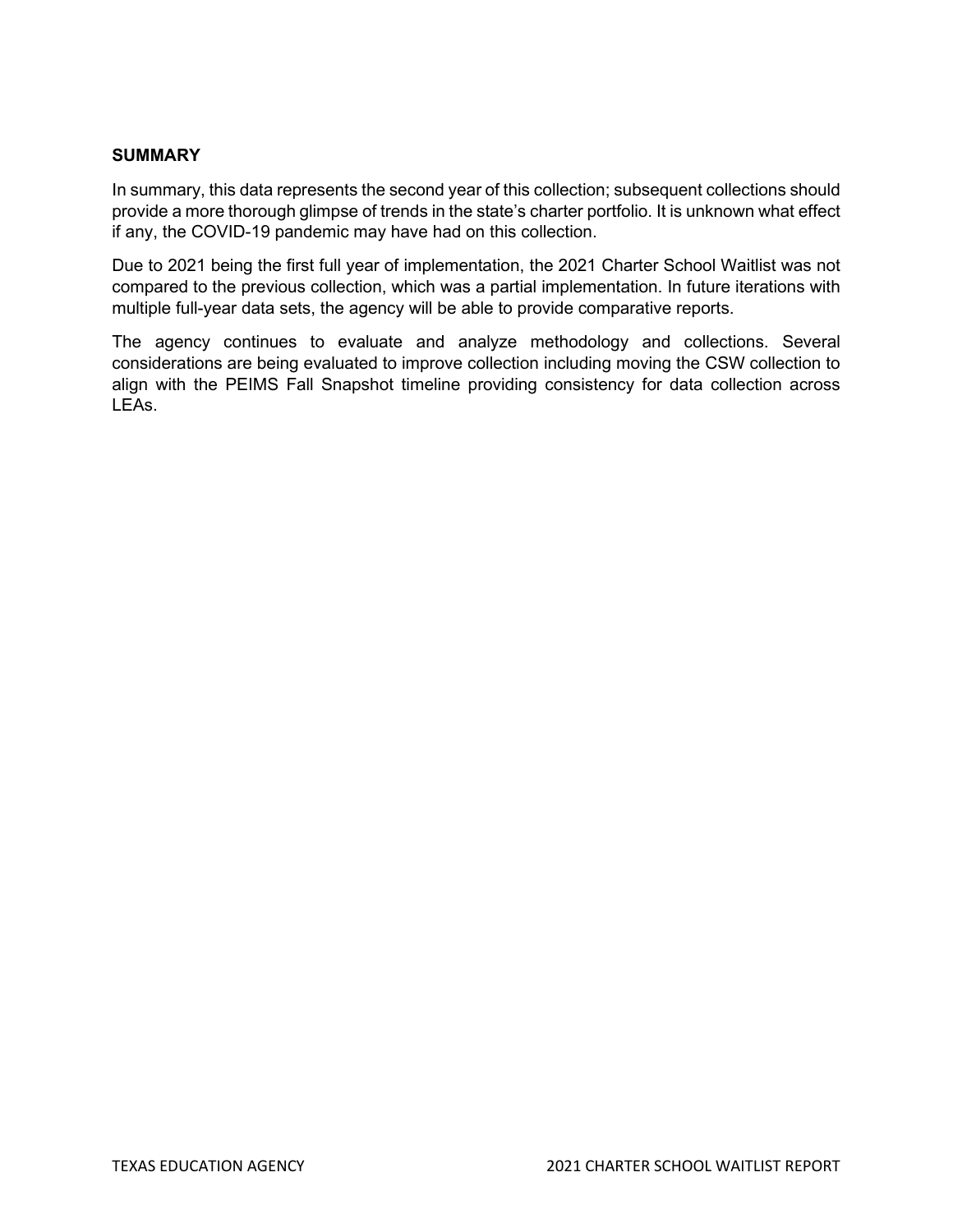### **SUMMARY**

 In summary, this data represents the second year of this collection; subsequent collections should provide a more thorough glimpse of trends in the state's charter portfolio. It is unknown what effect if any, the COVID-19 pandemic may have had on this collection.

 Due to 2021 being the first full year of implementation, the 2021 Charter School Waitlist was not compared to the previous collection, which was a partial implementation. In future iterations with multiple full-year data sets, the agency will be able to provide comparative reports.

 The agency continues to evaluate and analyze methodology and collections. Several considerations are being evaluated to improve collection including moving the CSW collection to align with the PEIMS Fall Snapshot timeline providing consistency for data collection across LEAs.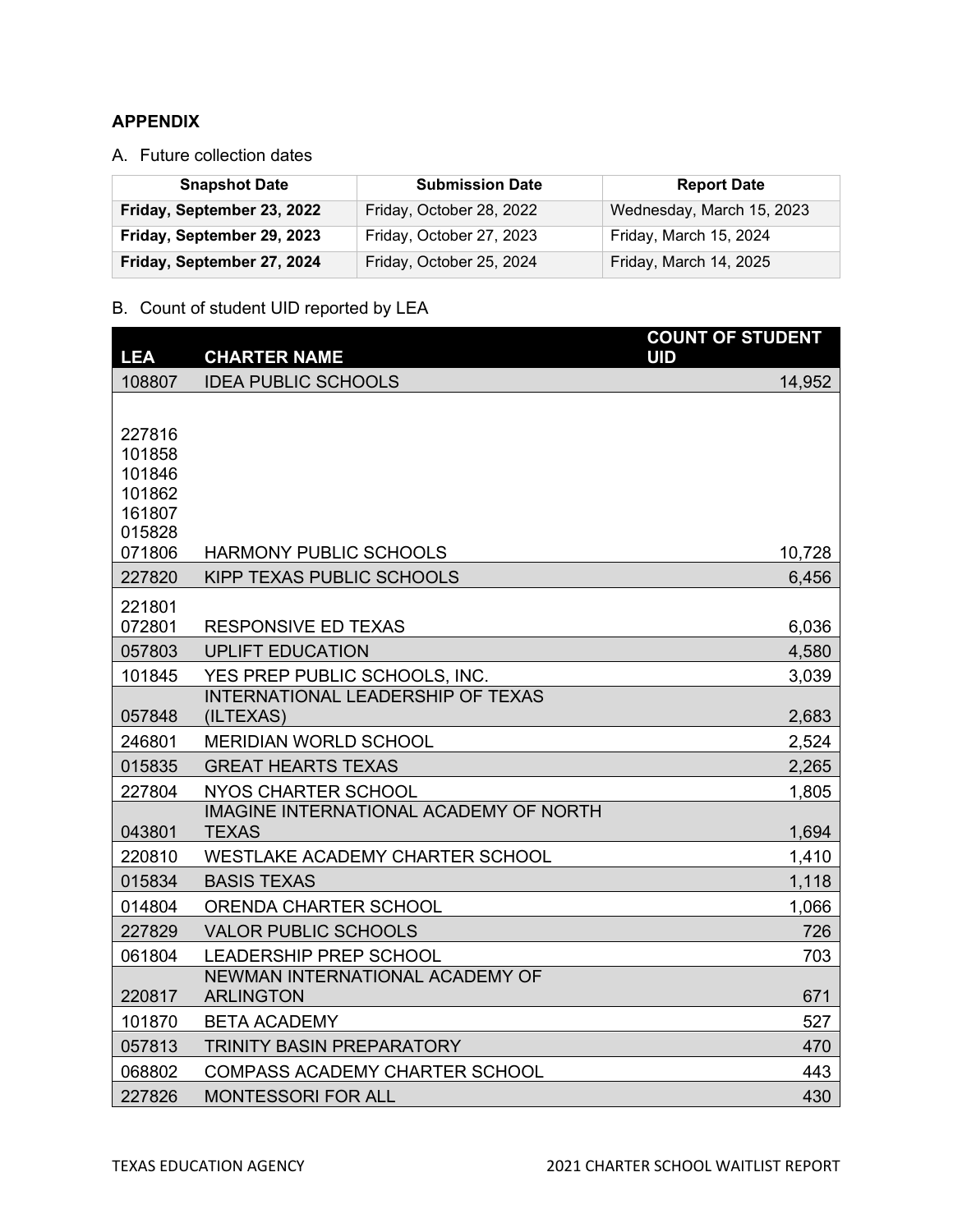### **APPENDIX**

### A. Future collection dates

| <b>Snapshot Date</b>       | <b>Submission Date</b>   | <b>Report Date</b>        |
|----------------------------|--------------------------|---------------------------|
| Friday, September 23, 2022 | Friday, October 28, 2022 | Wednesday, March 15, 2023 |
| Friday, September 29, 2023 | Friday, October 27, 2023 | Friday, March 15, 2024    |
| Friday, September 27, 2024 | Friday, October 25, 2024 | Friday, March 14, 2025    |

## B. Count of student UID reported by LEA

| <b>LEA</b>       | <b>CHARTER NAME</b>                                                       | <b>COUNT OF STUDENT</b><br><b>UID</b> |
|------------------|---------------------------------------------------------------------------|---------------------------------------|
| 108807           | <b>IDEA PUBLIC SCHOOLS</b>                                                | 14,952                                |
|                  |                                                                           |                                       |
| 227816           |                                                                           |                                       |
| 101858           |                                                                           |                                       |
| 101846<br>101862 |                                                                           |                                       |
| 161807           |                                                                           |                                       |
| 015828           |                                                                           |                                       |
| 071806           | <b>HARMONY PUBLIC SCHOOLS</b>                                             | 10,728                                |
| 227820           | KIPP TEXAS PUBLIC SCHOOLS                                                 | 6,456                                 |
| 221801           |                                                                           |                                       |
| 072801           | <b>RESPONSIVE ED TEXAS</b>                                                | 6,036                                 |
| 057803           | <b>UPLIFT EDUCATION</b>                                                   | 4,580                                 |
| 101845           | YES PREP PUBLIC SCHOOLS, INC.<br><b>INTERNATIONAL LEADERSHIP OF TEXAS</b> | 3,039                                 |
| 057848           | (ILTEXAS)                                                                 | 2,683                                 |
| 246801           | <b>MERIDIAN WORLD SCHOOL</b>                                              | 2,524                                 |
| 015835           | <b>GREAT HEARTS TEXAS</b>                                                 | 2,265                                 |
| 227804           | NYOS CHARTER SCHOOL                                                       | 1,805                                 |
| 043801           | <b>IMAGINE INTERNATIONAL ACADEMY OF NORTH</b><br><b>TEXAS</b>             | 1,694                                 |
| 220810           | <b>WESTLAKE ACADEMY CHARTER SCHOOL</b>                                    | 1,410                                 |
| 015834           | <b>BASIS TEXAS</b>                                                        | 1,118                                 |
| 014804           | <b>ORENDA CHARTER SCHOOL</b>                                              | 1,066                                 |
| 227829           | <b>VALOR PUBLIC SCHOOLS</b>                                               | 726                                   |
| 061804           | <b>LEADERSHIP PREP SCHOOL</b>                                             | 703                                   |
|                  | NEWMAN INTERNATIONAL ACADEMY OF                                           |                                       |
| 220817           | <b>ARLINGTON</b>                                                          | 671                                   |
| 101870           | <b>BETA ACADEMY</b>                                                       | 527                                   |
| 057813           | <b>TRINITY BASIN PREPARATORY</b>                                          | 470                                   |
| 068802           | <b>COMPASS ACADEMY CHARTER SCHOOL</b>                                     | 443                                   |
| 227826           | <b>MONTESSORI FOR ALL</b>                                                 | 430                                   |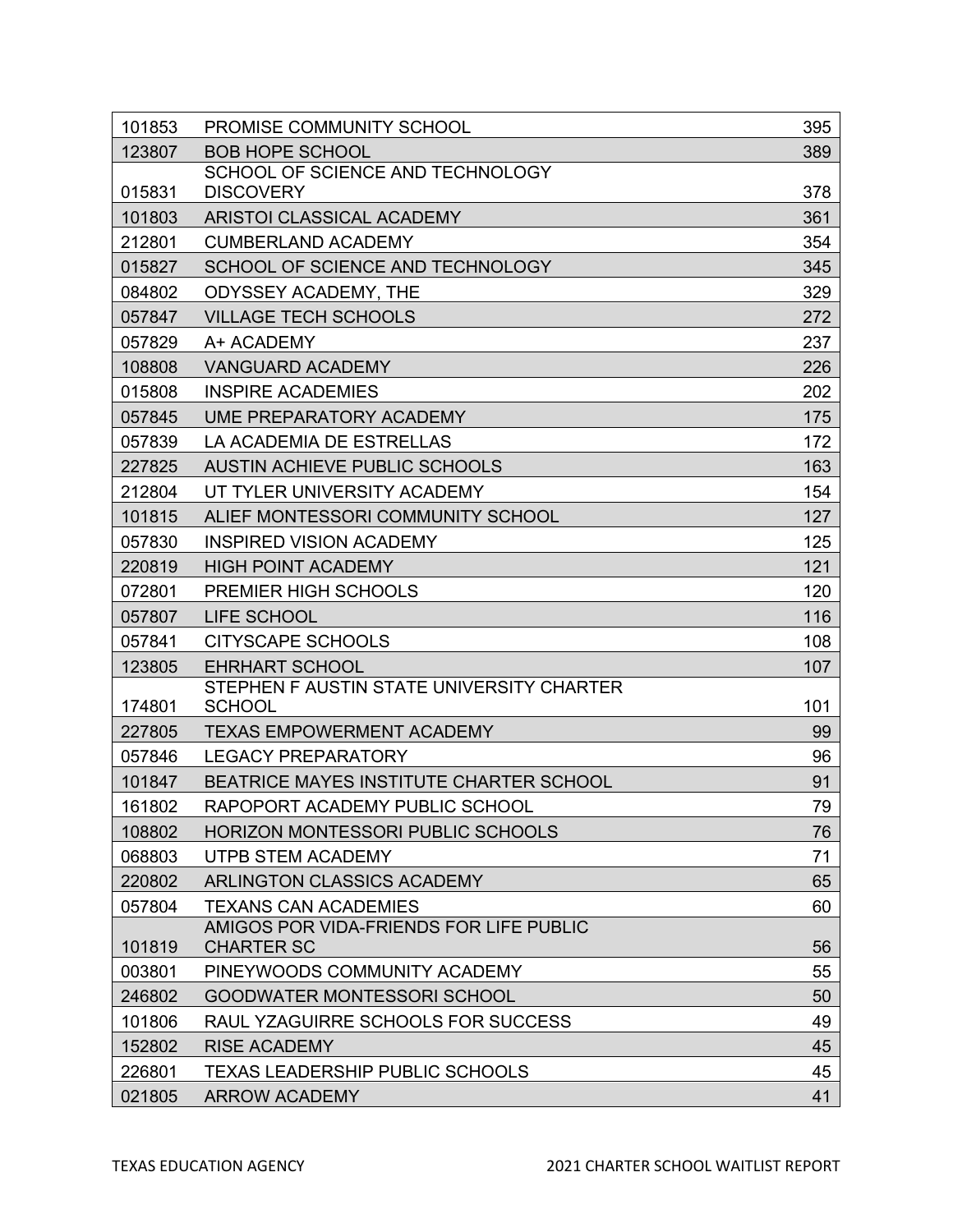| 101853 | PROMISE COMMUNITY SCHOOL                                     | 395 |
|--------|--------------------------------------------------------------|-----|
| 123807 | <b>BOB HOPE SCHOOL</b>                                       | 389 |
| 015831 | SCHOOL OF SCIENCE AND TECHNOLOGY<br><b>DISCOVERY</b>         | 378 |
| 101803 | ARISTOI CLASSICAL ACADEMY                                    | 361 |
| 212801 | <b>CUMBERLAND ACADEMY</b>                                    | 354 |
| 015827 | SCHOOL OF SCIENCE AND TECHNOLOGY                             | 345 |
| 084802 | <b>ODYSSEY ACADEMY, THE</b>                                  | 329 |
| 057847 | <b>VILLAGE TECH SCHOOLS</b>                                  | 272 |
| 057829 | A+ ACADEMY                                                   | 237 |
| 108808 | <b>VANGUARD ACADEMY</b>                                      | 226 |
| 015808 | <b>INSPIRE ACADEMIES</b>                                     | 202 |
| 057845 | UME PREPARATORY ACADEMY                                      | 175 |
| 057839 | LA ACADEMIA DE ESTRELLAS                                     | 172 |
| 227825 | <b>AUSTIN ACHIEVE PUBLIC SCHOOLS</b>                         | 163 |
| 212804 | UT TYLER UNIVERSITY ACADEMY                                  | 154 |
| 101815 | ALIEF MONTESSORI COMMUNITY SCHOOL                            | 127 |
| 057830 | <b>INSPIRED VISION ACADEMY</b>                               | 125 |
| 220819 | <b>HIGH POINT ACADEMY</b>                                    | 121 |
| 072801 | PREMIER HIGH SCHOOLS                                         | 120 |
| 057807 | LIFE SCHOOL                                                  | 116 |
| 057841 | <b>CITYSCAPE SCHOOLS</b>                                     | 108 |
| 123805 | <b>EHRHART SCHOOL</b>                                        | 107 |
| 174801 | STEPHEN F AUSTIN STATE UNIVERSITY CHARTER<br><b>SCHOOL</b>   | 101 |
| 227805 | <b>TEXAS EMPOWERMENT ACADEMY</b>                             | 99  |
| 057846 | <b>LEGACY PREPARATORY</b>                                    | 96  |
| 101847 | BEATRICE MAYES INSTITUTE CHARTER SCHOOL                      | 91  |
| 161802 | RAPOPORT ACADEMY PUBLIC SCHOOL                               | 79  |
| 108802 | HORIZON MONTESSORI PUBLIC SCHOOLS                            | 76  |
| 068803 | UTPB STEM ACADEMY                                            | 71  |
| 220802 | ARLINGTON CLASSICS ACADEMY                                   | 65  |
| 057804 | <b>TEXANS CAN ACADEMIES</b>                                  | 60  |
| 101819 | AMIGOS POR VIDA-FRIENDS FOR LIFE PUBLIC<br><b>CHARTER SC</b> | 56  |
| 003801 | PINEYWOODS COMMUNITY ACADEMY                                 | 55  |
| 246802 | <b>GOODWATER MONTESSORI SCHOOL</b>                           | 50  |
| 101806 | RAUL YZAGUIRRE SCHOOLS FOR SUCCESS                           | 49  |
| 152802 | <b>RISE ACADEMY</b>                                          | 45  |
| 226801 | <b>TEXAS LEADERSHIP PUBLIC SCHOOLS</b>                       | 45  |
| 021805 | <b>ARROW ACADEMY</b>                                         | 41  |